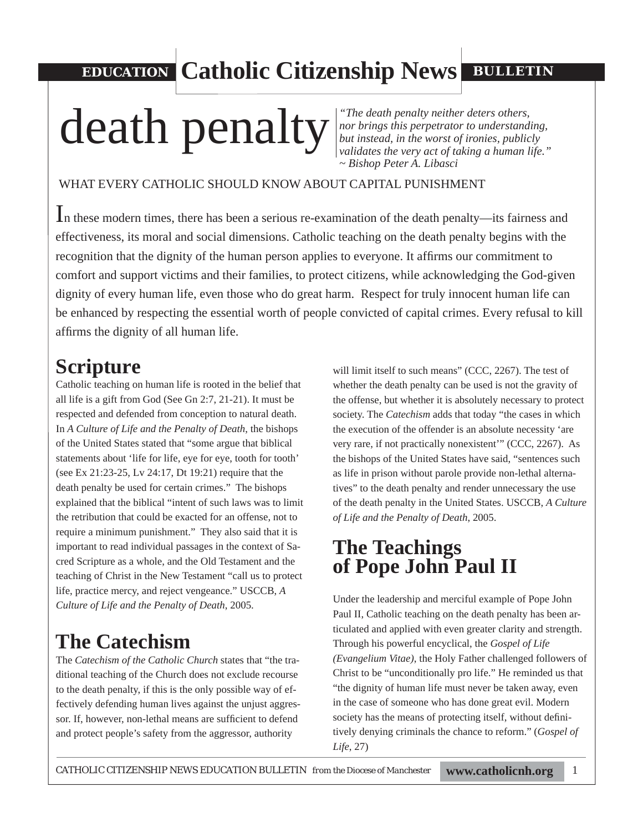**EDUCATION Catholic Citizenship News BULLETIN** 

# death penalty neither deters others,

*nor brings this perpetrator to understanding, but instead, in the worst of ironies, publicly validates the very act of taking a human life." ~ Bishop Peter A. Libasci*

#### WHAT EVERY CATHOLIC SHOULD KNOW ABOUT CAPITAL PUNISHMENT

In these modern times, there has been a serious re-examination of the death penalty—its fairness and effectiveness, its moral and social dimensions. Catholic teaching on the death penalty begins with the recognition that the dignity of the human person applies to everyone. It affirms our commitment to comfort and support victims and their families, to protect citizens, while acknowledging the God-given dignity of every human life, even those who do great harm. Respect for truly innocent human life can be enhanced by respecting the essential worth of people convicted of capital crimes. Every refusal to kill affirms the dignity of all human life.

### **Scripture**

Catholic teaching on human life is rooted in the belief that all life is a gift from God (See Gn 2:7, 21-21). It must be respected and defended from conception to natural death. In *A Culture of Life and the Penalty of Death*, the bishops of the United States stated that "some argue that biblical statements about 'life for life, eye for eye, tooth for tooth' (see Ex 21:23-25, Lv 24:17, Dt 19:21) require that the death penalty be used for certain crimes." The bishops explained that the biblical "intent of such laws was to limit the retribution that could be exacted for an offense, not to require a minimum punishment." They also said that it is important to read individual passages in the context of Sacred Scripture as a whole, and the Old Testament and the teaching of Christ in the New Testament "call us to protect life, practice mercy, and reject vengeance." USCCB, *A Culture of Life and the Penalty of Death*, 2005.

### **The Catechism**

The *Catechism of the Catholic Church* states that "the traditional teaching of the Church does not exclude recourse to the death penalty, if this is the only possible way of effectively defending human lives against the unjust aggressor. If, however, non-lethal means are sufficient to defend and protect people's safety from the aggressor, authority

will limit itself to such means" (CCC, 2267). The test of whether the death penalty can be used is not the gravity of the offense, but whether it is absolutely necessary to protect society. The *Catechism* adds that today "the cases in which the execution of the offender is an absolute necessity 'are very rare, if not practically nonexistent'" (CCC, 2267). As the bishops of the United States have said, "sentences such as life in prison without parole provide non-lethal alternatives" to the death penalty and render unnecessary the use of the death penalty in the United States. USCCB, *A Culture of Life and the Penalty of Death*, 2005.

### **The Teachings of Pope John Paul II**

Under the leadership and merciful example of Pope John Paul II, Catholic teaching on the death penalty has been articulated and applied with even greater clarity and strength. Through his powerful encyclical, the *Gospel of Life (Evangelium Vitae)*, the Holy Father challenged followers of Christ to be "unconditionally pro life." He reminded us that "the dignity of human life must never be taken away, even in the case of someone who has done great evil. Modern society has the means of protecting itself, without definitively denying criminals the chance to reform." (*Gospel of Life*, 27)